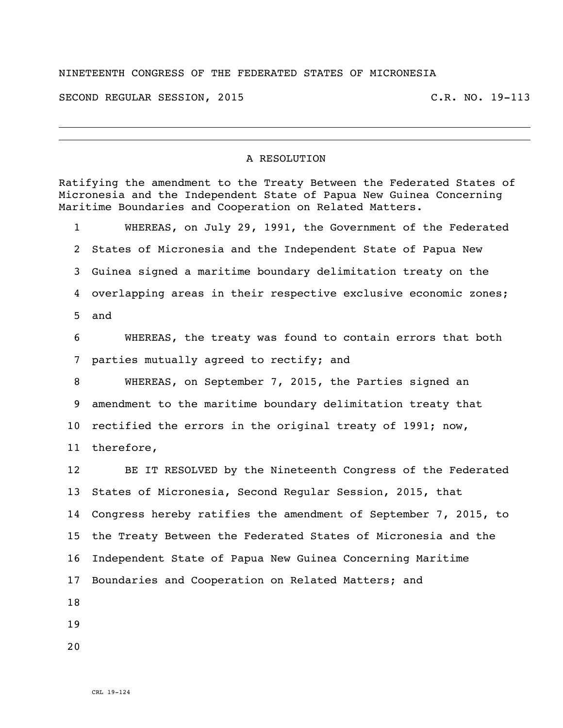## NINETEENTH CONGRESS OF THE FEDERATED STATES OF MICRONESIA

SECOND REGULAR SESSION, 2015 C.R. NO. 19-113

## A RESOLUTION

Ratifying the amendment to the Treaty Between the Federated States of Micronesia and the Independent State of Papua New Guinea Concerning Maritime Boundaries and Cooperation on Related Matters. WHEREAS, on July 29, 1991, the Government of the Federated States of Micronesia and the Independent State of Papua New Guinea signed a maritime boundary delimitation treaty on the overlapping areas in their respective exclusive economic zones; and WHEREAS, the treaty was found to contain errors that both parties mutually agreed to rectify; and WHEREAS, on September 7, 2015, the Parties signed an amendment to the maritime boundary delimitation treaty that rectified the errors in the original treaty of 1991; now, therefore, BE IT RESOLVED by the Nineteenth Congress of the Federated States of Micronesia, Second Regular Session, 2015, that Congress hereby ratifies the amendment of September 7, 2015, to the Treaty Between the Federated States of Micronesia and the Independent State of Papua New Guinea Concerning Maritime Boundaries and Cooperation on Related Matters; and